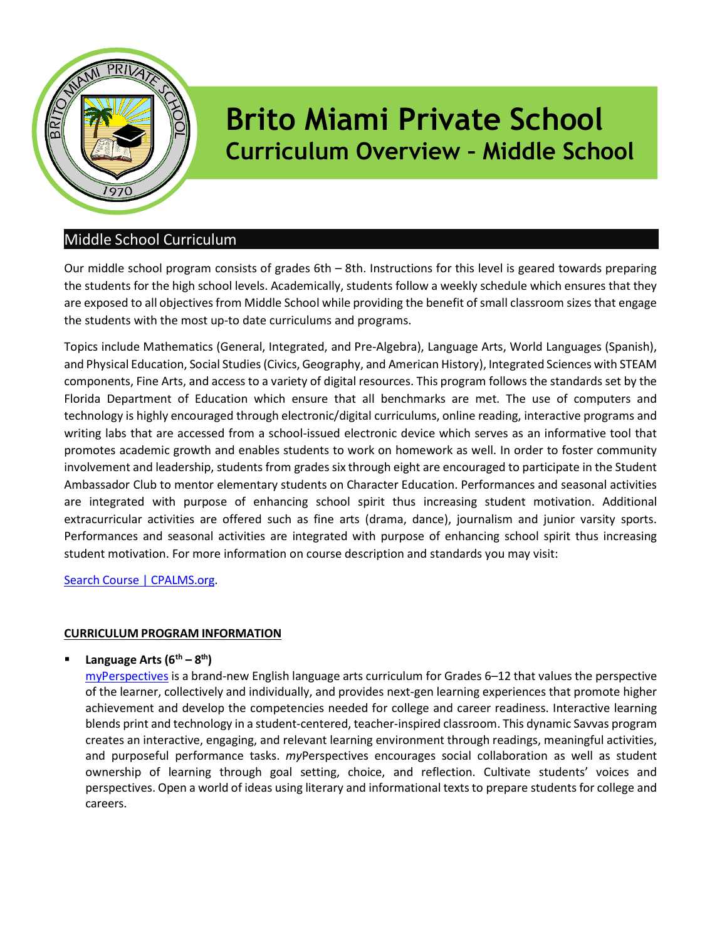

# Brito Miami Private School Curriculum Overview – Middle School

# Middle School Curriculum

Our middle school program consists of grades 6th – 8th. Instructions for this level is geared towards preparing the students for the high school levels. Academically, students follow a weekly schedule which ensures that they are exposed to all objectives from Middle School while providing the benefit of small classroom sizes that engage the students with the most up-to date curriculums and programs.

Topics include Mathematics (General, Integrated, and Pre-Algebra), Language Arts, World Languages (Spanish), and Physical Education, Social Studies (Civics, Geography, and American History), Integrated Sciences with STEAM components, Fine Arts, and access to a variety of digital resources. This program follows the standards set by the Florida Department of Education which ensure that all benchmarks are met. The use of computers and technology is highly encouraged through electronic/digital curriculums, online reading, interactive programs and writing labs that are accessed from a school-issued electronic device which serves as an informative tool that promotes academic growth and enables students to work on homework as well. In order to foster community involvement and leadership, students from grades six through eight are encouraged to participate in the Student Ambassador Club to mentor elementary students on Character Education. Performances and seasonal activities are integrated with purpose of enhancing school spirit thus increasing student motivation. Additional extracurricular activities are offered such as fine arts (drama, dance), journalism and junior varsity sports. Performances and seasonal activities are integrated with purpose of enhancing school spirit thus increasing student motivation. For more information on course description and standards you may visit:

Search Course | CPALMS.org.

## CURRICULUM PROGRAM INFORMATION

Language Arts  $(6^{th} - 8^{th})$ 

myPerspectives is a brand-new English language arts curriculum for Grades 6–12 that values the perspective of the learner, collectively and individually, and provides next-gen learning experiences that promote higher achievement and develop the competencies needed for college and career readiness. Interactive learning blends print and technology in a student-centered, teacher-inspired classroom. This dynamic Savvas program creates an interactive, engaging, and relevant learning environment through readings, meaningful activities, and purposeful performance tasks. myPerspectives encourages social collaboration as well as student ownership of learning through goal setting, choice, and reflection. Cultivate students' voices and perspectives. Open a world of ideas using literary and informational texts to prepare students for college and careers.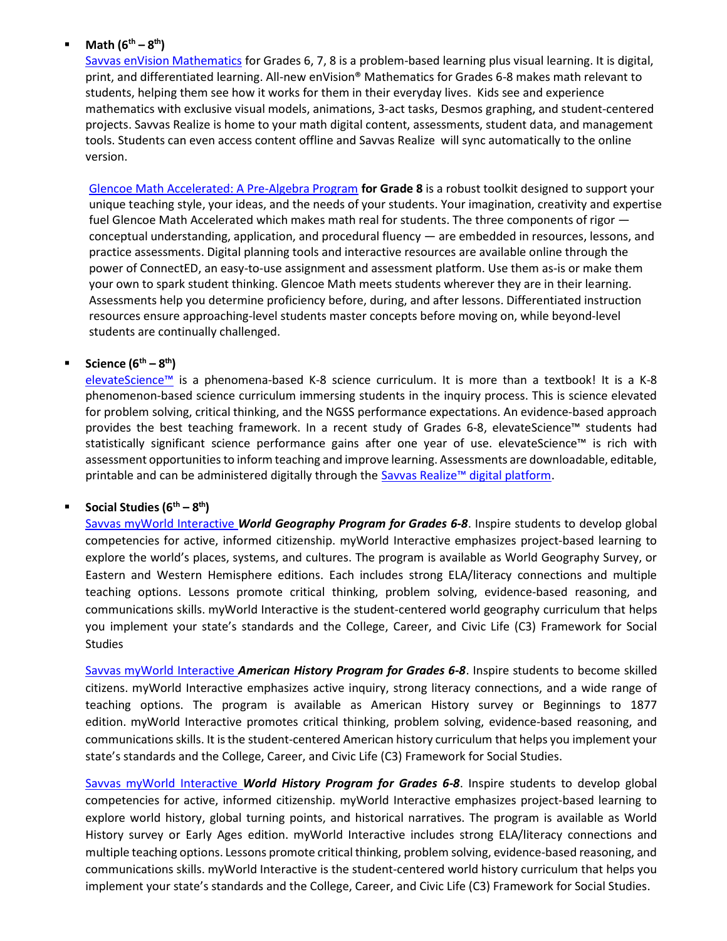#### Math  $(6^{th} - 8^{th})$

Savvas enVision Mathematics for Grades 6, 7, 8 is a problem-based learning plus visual learning. It is digital, print, and differentiated learning. All-new enVision® Mathematics for Grades 6-8 makes math relevant to students, helping them see how it works for them in their everyday lives. Kids see and experience mathematics with exclusive visual models, animations, 3-act tasks, Desmos graphing, and student-centered projects. Savvas Realize is home to your math digital content, assessments, student data, and management tools. Students can even access content offline and Savvas Realize will sync automatically to the online version.

Glencoe Math Accelerated: A Pre-Algebra Program for Grade 8 is a robust toolkit designed to support your unique teaching style, your ideas, and the needs of your students. Your imagination, creativity and expertise fuel Glencoe Math Accelerated which makes math real for students. The three components of rigor  $$ conceptual understanding, application, and procedural fluency — are embedded in resources, lessons, and practice assessments. Digital planning tools and interactive resources are available online through the power of ConnectED, an easy-to-use assignment and assessment platform. Use them as-is or make them your own to spark student thinking. Glencoe Math meets students wherever they are in their learning. Assessments help you determine proficiency before, during, and after lessons. Differentiated instruction resources ensure approaching-level students master concepts before moving on, while beyond-level students are continually challenged.

#### Science  $(6^{th} - 8^{th})$

elevateScience™ is a phenomena-based K-8 science curriculum. It is more than a textbook! It is a K-8 phenomenon-based science curriculum immersing students in the inquiry process. This is science elevated for problem solving, critical thinking, and the NGSS performance expectations. An evidence-based approach provides the best teaching framework. In a recent study of Grades 6-8, elevateScience™ students had statistically significant science performance gains after one year of use. elevateScience™ is rich with assessment opportunities to inform teaching and improve learning. Assessments are downloadable, editable, printable and can be administered digitally through the Savvas Realize<sup>™</sup> digital platform.

#### Social Studies  $(6^{th} - 8^{th})$

Savvas myWorld Interactive World Geography Program for Grades 6-8. Inspire students to develop global competencies for active, informed citizenship. myWorld Interactive emphasizes project-based learning to explore the world's places, systems, and cultures. The program is available as World Geography Survey, or Eastern and Western Hemisphere editions. Each includes strong ELA/literacy connections and multiple teaching options. Lessons promote critical thinking, problem solving, evidence-based reasoning, and communications skills. myWorld Interactive is the student-centered world geography curriculum that helps you implement your state's standards and the College, Career, and Civic Life (C3) Framework for Social **Studies** 

Savvas myWorld Interactive American History Program for Grades 6-8. Inspire students to become skilled citizens. myWorld Interactive emphasizes active inquiry, strong literacy connections, and a wide range of teaching options. The program is available as American History survey or Beginnings to 1877 edition. myWorld Interactive promotes critical thinking, problem solving, evidence-based reasoning, and communications skills. It is the student-centered American history curriculum that helps you implement your state's standards and the College, Career, and Civic Life (C3) Framework for Social Studies.

Savvas myWorld Interactive World History Program for Grades 6-8. Inspire students to develop global competencies for active, informed citizenship. myWorld Interactive emphasizes project-based learning to explore world history, global turning points, and historical narratives. The program is available as World History survey or Early Ages edition. myWorld Interactive includes strong ELA/literacy connections and multiple teaching options. Lessons promote critical thinking, problem solving, evidence-based reasoning, and communications skills. myWorld Interactive is the student-centered world history curriculum that helps you implement your state's standards and the College, Career, and Civic Life (C3) Framework for Social Studies.